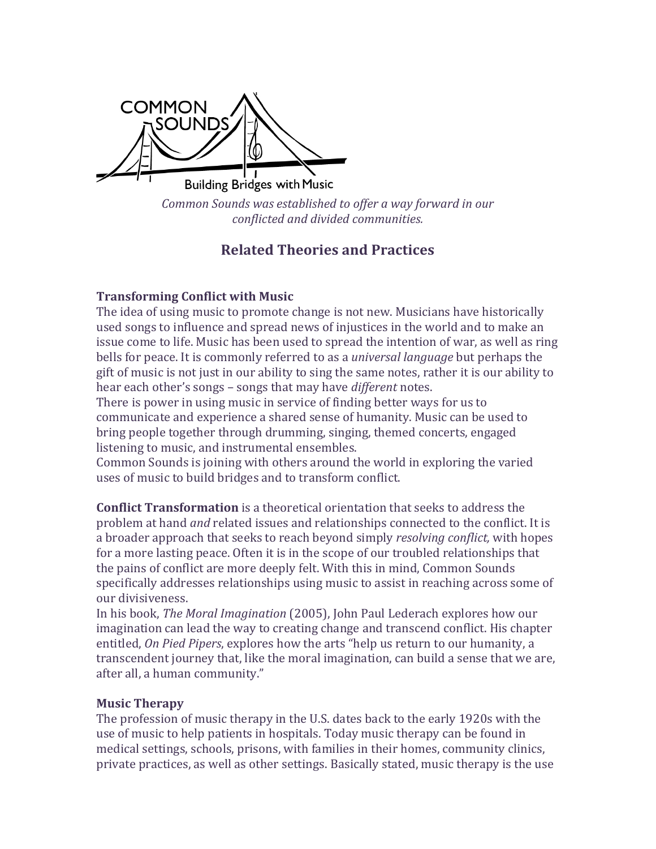

*Common Sounds was established to offer a way forward in our conflicted and divided communities.*

## **Related Theories and Practices**

## **Transforming Conflict with Music**

The idea of using music to promote change is not new. Musicians have historically used songs to influence and spread news of injustices in the world and to make an issue come to life. Music has been used to spread the intention of war, as well as ring bells for peace. It is commonly referred to as a *universal language* but perhaps the gift of music is not just in our ability to sing the same notes, rather it is our ability to hear each other's songs – songs that may have *different* notes.

There is power in using music in service of finding better ways for us to communicate and experience a shared sense of humanity. Music can be used to bring people together through drumming, singing, themed concerts, engaged listening to music, and instrumental ensembles.

Common Sounds is joining with others around the world in exploring the varied uses of music to build bridges and to transform conflict.

**Conflict Transformation** is a theoretical orientation that seeks to address the problem at hand *and* related issues and relationships connected to the conflict. It is a broader approach that seeks to reach beyond simply *resolving conflict*, with hopes for a more lasting peace. Often it is in the scope of our troubled relationships that the pains of conflict are more deeply felt. With this in mind, Common Sounds specifically addresses relationships using music to assist in reaching across some of our divisiveness.

In his book, *The Moral Imagination* (2005), John Paul Lederach explores how our imagination can lead the way to creating change and transcend conflict. His chapter entitled, *On Pied Pipers*, explores how the arts "help us return to our humanity, a transcendent journey that, like the moral imagination, can build a sense that we are, after all, a human community."

## **Music Therapy**

The profession of music therapy in the U.S. dates back to the early 1920s with the use of music to help patients in hospitals. Today music therapy can be found in medical settings, schools, prisons, with families in their homes, community clinics, private practices, as well as other settings. Basically stated, music therapy is the use